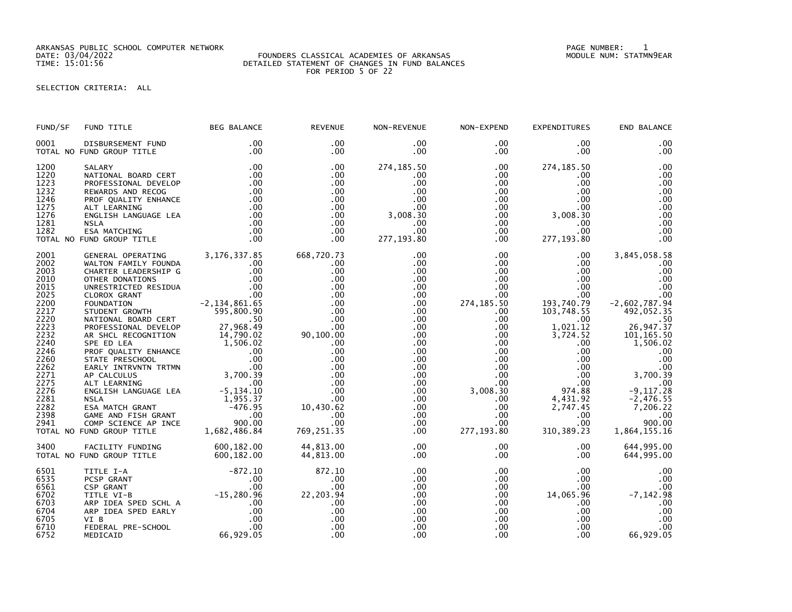ARKANSAS PUBLIC SCHOOL COMPUTER NETWORK PAGE NUMBER: 1

#### DATE: 03/04/2022 FOUNDERS CLASSICAL ACADEMIES OF ARKANSAS MODULE NUM: STATMN9EAR TIME: 15:01:56 DETAILED STATEMENT OF CHANGES IN FUND BALANCES FOR PERIOD 5 OF 22

# SELECTION CRITERIA: ALL

| FUND TITLE                                                                                                                                                            | <b>BEG BALANCE</b>                                                                | <b>REVENUE</b>                                                                                                                                                                                                                                                                                                                                                                                                                                                                                                                                                                                                                                                                                                                      | NON-REVENUE                                                                                                                                                                                                                                           | NON-EXPEND                                                                                                                                                                                                                                                                | <b>EXPENDITURES</b>                                                                                                                                                                                                                                                                                           | END BALANCE                                                                                                                                                                                                                                 |
|-----------------------------------------------------------------------------------------------------------------------------------------------------------------------|-----------------------------------------------------------------------------------|-------------------------------------------------------------------------------------------------------------------------------------------------------------------------------------------------------------------------------------------------------------------------------------------------------------------------------------------------------------------------------------------------------------------------------------------------------------------------------------------------------------------------------------------------------------------------------------------------------------------------------------------------------------------------------------------------------------------------------------|-------------------------------------------------------------------------------------------------------------------------------------------------------------------------------------------------------------------------------------------------------|---------------------------------------------------------------------------------------------------------------------------------------------------------------------------------------------------------------------------------------------------------------------------|---------------------------------------------------------------------------------------------------------------------------------------------------------------------------------------------------------------------------------------------------------------------------------------------------------------|---------------------------------------------------------------------------------------------------------------------------------------------------------------------------------------------------------------------------------------------|
| DISBURSEMENT FUND<br>TOTAL NO FUND GROUP TITLE                                                                                                                        | .00<br>.00                                                                        | .00<br>.00                                                                                                                                                                                                                                                                                                                                                                                                                                                                                                                                                                                                                                                                                                                          | $.00 \,$<br>.00                                                                                                                                                                                                                                       | $.00 \,$<br>$.00 \,$                                                                                                                                                                                                                                                      | .00.<br>.00                                                                                                                                                                                                                                                                                                   | .00<br>.00                                                                                                                                                                                                                                  |
| SALARY<br>NATIONAL BOARD CERT<br>PROFESSIONAL DEVELOP<br>REWARDS AND RECOG<br>PROF QUALITY ENHANCE<br>ALT LEARNING<br>ENGLISH LANGUAGE LEA<br><b>NSLA</b>             |                                                                                   | .00<br>.00<br>.00<br>.00<br>$.00 \,$<br>.00<br>.00<br>.00<br>.00                                                                                                                                                                                                                                                                                                                                                                                                                                                                                                                                                                                                                                                                    | 274, 185.50<br>$.00 \,$<br>.00<br>.00<br>.00<br>.00<br>3,008.30<br>.00<br>.00                                                                                                                                                                         | $.00 \times$<br>$.00 \,$<br>.00<br>.00<br>.00<br>$.00\,$<br>$.00 \,$<br>$.00 \,$<br>$.00 \,$                                                                                                                                                                              | 274, 185.50<br>.00.<br>.00<br>.00<br>.00.<br>$3,008.\overline{30}$<br>00.00<br>00<br>.00.                                                                                                                                                                                                                     | .00<br>.00<br>.00<br>.00<br>.00<br>.00<br>.00<br>.00<br>.00                                                                                                                                                                                 |
| TOTAL NO FUND GROUP TITLE                                                                                                                                             |                                                                                   | .00                                                                                                                                                                                                                                                                                                                                                                                                                                                                                                                                                                                                                                                                                                                                 |                                                                                                                                                                                                                                                       | $.00 \,$                                                                                                                                                                                                                                                                  | 277, 193.80                                                                                                                                                                                                                                                                                                   | .00                                                                                                                                                                                                                                         |
| GENERAL OPERATING<br>WALTON FAMILY FOUNDA<br>CHARTER LEADERSHIP G<br>NATIONAL BOARD CERT<br>PROFESSIONAL DEVELOP<br>COMP SCIENCE AP INCE<br>TOTAL NO FUND GROUP TITLE | $.00 \cdot$<br>.00<br>50<br>27,968.49<br>00 .<br>۵۵ ۵۵۵<br>900.00<br>1,682,486.84 | 668,720.73<br>.00<br>.00<br>.00<br>.00<br>.00<br>.00<br>.00<br>.00<br>.00<br>.00<br>.00<br>.00<br>.00<br>10,430.62<br>.00<br>.00<br>769,251.35                                                                                                                                                                                                                                                                                                                                                                                                                                                                                                                                                                                      | .00<br>$.00 \,$<br>.00<br>.00<br>$.00 \,$<br>$.00 \,$<br>.00<br>.00<br>$.00 \,$<br>$.00 \,$<br>$.00 \,$<br>$.00 \,$<br>$.00 \,$<br>$.00 \,$<br>.00<br>.00 <sub>1</sub><br>$.00 \,$<br>$.00 \,$<br>$.00 \,$<br>$.00 \,$<br>$.00 \,$<br>$.00 \,$<br>.00 | .00<br>$.00 \,$<br>$.00 \,$<br>.00<br>$.00 \,$<br>$.00 \,$<br>274,185.50<br>$.00 \,$<br>.00<br>$.00 \,$<br>$.00 \,$<br>$.00 \,$<br>$.00 \,$<br>$.00 \,$<br>$.00 \,$<br>.00<br>$.00 \,$<br>3,008.30<br>$.00 \,$<br>$.00 \,$<br>$.00 \,$<br>.00 <sub>1</sub><br>277, 193.80 | $.00 \,$<br>$.00 \cdot$<br>$.00 \,$<br>$.00 \,$<br>$.00 \,$<br>$.00 \,$<br>193,740.79<br>103,748.55<br>.00<br>1,021.12<br>$\overline{3}, \overline{724}.52$<br>$.00 \,$<br>$.00 \,$<br>.00<br>.00<br>.00 <sub>1</sub><br>.00<br>974.88<br>4,431.92<br>2,747.45<br>$.00 \,$<br>.00 <sub>1</sub><br>310, 389.23 | 3,845,058.58<br>.00<br>.00<br>.00<br>.00<br>.00<br>$-2,602,787.94$<br>492,052.35<br>.50<br>26,947.37<br>101, 165.50<br>1,506.02<br>.00<br>.00<br>.00<br>3,700.39<br>$-9,117.28$<br>$-2,476.55$<br>7,206.22<br>.00<br>900.00<br>1,864,155.16 |
| FACILITY FUNDING<br>TOTAL NO FUND GROUP TITLE                                                                                                                         |                                                                                   | 44,813.00                                                                                                                                                                                                                                                                                                                                                                                                                                                                                                                                                                                                                                                                                                                           | $.00 \,$<br>$.00 \,$                                                                                                                                                                                                                                  | $.00 \,$<br>$.00 \,$                                                                                                                                                                                                                                                      | $.00 \,$<br>.00                                                                                                                                                                                                                                                                                               | 644,995.00<br>644,995.00                                                                                                                                                                                                                    |
| TITLE I-A<br>PCSP GRANT<br>CSP GRANT<br>TITLE VI-B<br>ARP IDEA SPED SCHL A<br>ARP IDEA SPED EARLY<br>VI B<br>FEDERAL PRE-SCHOOL                                       |                                                                                   | 872.10<br>.00<br>.00<br>.00<br>.00<br>.00                                                                                                                                                                                                                                                                                                                                                                                                                                                                                                                                                                                                                                                                                           | $.00 \,$<br>$.00 \,$<br>$.00 \,$<br>.00<br>.00<br>$.00 \,$<br>.00<br>.00                                                                                                                                                                              | $.00 \,$<br>.00<br>$.00 \,$<br>$.00 \,$<br>.00<br>$.00 \,$<br>$.00 \,$<br>$.00 \,$                                                                                                                                                                                        | .00.<br>$.00 \,$<br>.00<br>14,065.96<br>.00.<br>$.00 \,$<br>$.00 \,$<br>$.00 \,$                                                                                                                                                                                                                              | .00<br>.00<br>.00<br>$-7, 142.98$<br>.00<br>.00<br>.00<br>.00<br>66,929.05                                                                                                                                                                  |
|                                                                                                                                                                       | ESA MATCHING<br>MEDICAID                                                          | $\begin{array}{r} .00\ 0.00\ 0.00\ 0.00\ 0.00\ 0.00\ 0.00\ 0.00\ 0.00\ 0.00\ 0.00\ 0.00\ 0.00\ 0.00\ 0.00\ 0.00\ 0.00\ 0.00\ 0.00\ 0.00\ 0.00\ 0.00\ 0.00\ 0.00\ 0.00\ 0.00\ 0.00\ 0.00\ 0.00\ 0.00\ 0.00\ 0.00\ 0.00\ 0.00\ 0.00\ 0.00$<br>3,176,337.85<br>OTHER DONATIONS<br>UNRESTRICTED RESIDUA .00<br>CLOROX GRANT .00<br>FOUNDATION .00<br>STUDENT GROWTH .00<br>STUDEN GROWTH .000.90<br>PROFESSIONAL DEVELOP<br>AR SHCL RECOGNITION<br>SPE ED LEA<br>PROF QUALITY ENHANCE<br>STATE PRESCHOOL 00<br>STATE PRESCHOOL 00<br>STATE PRESCHOOL 00<br>CALCULUS<br>AP CALCULUS<br>AR CALCULUS<br>ART LEARNING<br>ART LEARNING<br>ENGLISH LANGUAGE LEA<br><br><br>ESA MATCH GRANT<br>GAME AND FISH GRANT<br>600,182.00<br>600,182.00 | $90,100.00$<br>0.00<br>.00.00.00<br>44,813.00<br>60.<br>600,<br>-87 <sub>2</sub><br><br><br>.00<br>A -15,280.96<br>.00<br>.00<br>.00<br>.00<br>$22, 203.94$<br>00<br>.00                                                                              | 277, 193.80<br>.00                                                                                                                                                                                                                                                        | .00                                                                                                                                                                                                                                                                                                           | .00                                                                                                                                                                                                                                         |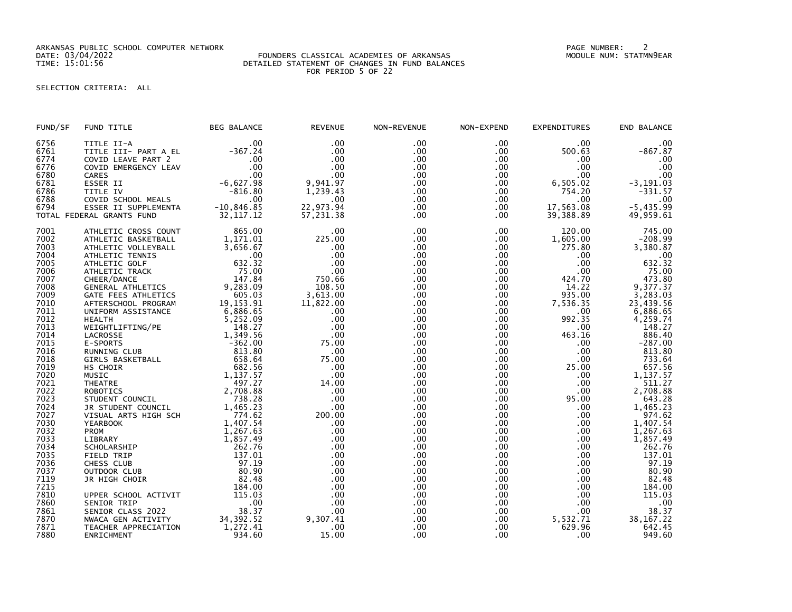ARKANSAS PUBLIC SCHOOL COMPUTER NETWORK PAGE NUMBER: 2

### DATE: 03/04/2022 FOUNDERS CLASSICAL ACADEMIES OF ARKANSAS MODULE NUM: STATMN9EAR TIME: 15:01:56 DETAILED STATEMENT OF CHANGES IN FUND BALANCES FOR PERIOD 5 OF 22

# SELECTION CRITERIA: ALL

| FUND/SF              | FUND TITLE                                               | <b>BEG BALANCE</b>             | <b>REVENUE</b>           | NON-REVENUE              | NON-EXPEND                  | <b>EXPENDITURES</b>         | END BALANCE                    |
|----------------------|----------------------------------------------------------|--------------------------------|--------------------------|--------------------------|-----------------------------|-----------------------------|--------------------------------|
| 6756<br>6761<br>6774 | TITLE II-A<br>TITLE III- PART A EL<br>COVID LEAVE PART 2 | .00<br>$-367.24$<br>.00<br>.00 | .00<br>.00<br>.00<br>.00 | .00<br>.00<br>.00<br>.00 | .00<br>$.00 \,$<br>$.00 \,$ | .00<br>500.63<br>.00<br>.00 | .00<br>$-867.87$<br>.00<br>.00 |
| 6776                 | COVID EMERGENCY LEAV                                     | .00                            | .00                      | .00                      | .00<br>$.00 \,$             | .00                         |                                |
| 6780<br>6781         | CARES<br>ESSER II                                        | $-6,627.98$                    | 9,941.97                 | .00                      | .00                         | 6,505.02                    | .00<br>$-3, 191.03$            |
| 6786                 | TITLE IV                                                 | $-816.80$                      | 1,239.43                 | .00                      | .00                         | 754.20                      | $-331.57$                      |
| 6788                 | COVID SCHOOL MEALS                                       | .00                            | $.00 \,$                 | .00                      | .00                         | .00                         | .00                            |
| 6794                 | ESSER II SUPPLEMENTA                                     | $-10,846.85$                   | 22,973.94                | .00                      | $.00 \,$                    | 17,563.08                   | $-5,435.99$                    |
|                      | TOTAL FEDERAL GRANTS FUND                                | 32, 117.12                     | 57,231.38                | .00                      | .00                         | 39,388.89                   | 49,959.61                      |
| 7001                 | ATHLETIC CROSS COUNT                                     | 865.00                         | $.00 \,$                 | .00                      | .00                         | 120.00                      | 745.00                         |
| 7002                 | ATHLETIC BASKETBALL                                      | 1,171.01                       | 225.00                   | .00                      | $.00 \,$                    | 1,605.00                    | $-208.99$                      |
| 7003                 | ATHLETIC VOLLEYBALL                                      | 3,656.67                       | .00                      | .00                      | $.00 \,$                    | 275.80                      | 3,380.87                       |
| 7004                 | ATHLETIC TENNIS                                          | .00                            | .00                      | .00                      | .00                         | $.00 \,$                    | .00                            |
| 7005                 | ATHLETIC GOLF                                            | 632.32                         | .00                      | .00                      | .00 <sub>1</sub>            | .00                         | 632.32                         |
| 7006                 | ATHLETIC TRACK                                           | 75.00                          | .00                      | .00                      | $.00 \,$                    | .00                         | 75.00                          |
| 7007                 | CHEER/DANCE                                              | 147.84                         | 750.66                   | .00                      | $.00 \,$                    | 424.70                      | 473.80                         |
| 7008                 | GENERAL ATHLETICS                                        | 9,283.09                       | 108.50                   | .00                      | .00                         | 14.22                       | 9,377.37                       |
| 7009                 | GATE FEES ATHLETICS                                      | 605.03                         | 3,613.00                 | .00                      | .00                         | 935.00                      | 3,283.03                       |
| 7010                 | AFTERSCHOOL PROGRAM                                      | 19, 153. 91                    | 11,822.00                | .00                      | .00                         | 7,536.35                    | 23,439.56                      |
| 7011                 | UNIFORM ASSISTANCE                                       | 6,886.65                       | .00                      | .00                      | $.00 \,$                    | .00                         | 6,886.65                       |
| 7012                 | <b>HEALTH</b>                                            | 5,252.09                       | .00                      | .00                      | .00                         | 992.35                      | 4,259.74                       |
| 7013                 | WEIGHTLIFTING/PE                                         | 148.27                         | .00                      | .00                      | .00                         | .00                         | 148.27                         |
| 7014                 | LACROSSE                                                 | 1,349.56                       | .00                      | .00                      | .00                         | 463.16                      | 886.40                         |
| 7015                 | E-SPORTS                                                 | $-362.00$                      | 75.00                    | .00                      | .00.                        | .00                         | $-287.00$                      |
| 7016                 | RUNNING CLUB                                             | 813.80                         | .00                      | .00                      | .00                         | .00                         | 813.80                         |
| 7018                 | GIRLS BASKETBALL                                         | 658.64                         | 75.00                    | .00                      | .00                         | .00                         | 733.64                         |
| 7019                 | HS CHOIR                                                 | 682.56                         | .00                      | .00                      | .00                         | 25.00                       | 657.56                         |
| 7020                 | MUSIC                                                    | 1,137.57                       | .00                      | .00                      | .00                         | .00                         | 1,137.57                       |
| 7021                 | <b>THEATRE</b>                                           | 497.27                         | 14.00                    | .00                      | $.00 \,$                    | .00                         | 511.27                         |
| 7022                 | ROBOTICS                                                 | 2,708.88                       | .00                      | .00                      | .00 <sub>1</sub>            | .00                         | 2,708.88                       |
| 7023<br>7024         | STUDENT COUNCIL                                          | 738.28<br>1,465.23             | .00<br>.00               | .00<br>.00               | .00<br>.00                  | 95.00<br>.00                | 643.28<br>1,465.23             |
| 7027                 | JR STUDENT COUNCIL<br>VISUAL ARTS HIGH SCH               | 774.62                         | 200.00                   | .00                      | .00                         | .00.                        | 974.62                         |
| 7030                 | <b>YEARBOOK</b>                                          | 1,407.54                       | .00                      | .00                      | $.00 \,$                    | .00.                        | 1,407.54                       |
| 7032                 | PROM                                                     | 1,267.63                       | .00                      | .00                      | .00                         | .00                         | 1,267.63                       |
| 7033                 | LIBRARY                                                  | 1,857.49                       | .00                      | .00                      | .00                         | .00.                        | 1,857.49                       |
| 7034                 | SCHOLARSHIP                                              | 262.76                         | .00                      | .00                      | .00 <sub>1</sub>            | .00                         | 262.76                         |
| 7035                 | FIELD TRIP                                               | 137.01                         | .00                      | .00                      | $.00 \,$                    | .00                         | 137.01                         |
| 7036                 | CHESS CLUB                                               | 97.19                          | .00                      | .00                      | $.00 \,$                    | .00                         | 97.19                          |
| 7037                 | OUTDOOR CLUB                                             | 80.90                          | .00                      | .00                      | $.00 \,$                    | .00                         | 80.90                          |
| 7119                 | JR HIGH CHOIR                                            | 82.48                          | .00                      | .00                      | .00                         | .00                         | 82.48                          |
| 7215                 |                                                          | 184.00                         | .00                      | .00                      | .00                         | .00                         | 184.00                         |
| 7810                 | UPPER SCHOOL ACTIVIT                                     | 115.03                         | .00                      | .00                      | .00                         | .00                         | 115.03                         |
| 7860                 | SENIOR TRIP                                              | .00                            | .00                      | .00                      | .00                         | .00                         | .00                            |
| 7861                 | SENIOR CLASS 2022                                        | 38.37                          | .00                      | .00                      | .00                         | .00.                        | 38.37                          |
| 7870                 | NWACA GEN ACTIVITY                                       |                                | 9.307.41                 | .00                      | .00                         | 5,532.71                    | 38, 167.22                     |
| 7871                 | TEACHER APPRECIATION                                     | 34, 392.52<br>1, 272.41        | .00                      | .00                      | .00                         | 629.96                      | 642.45                         |
| 7880                 | ENRICHMENT                                               | 934.60                         | 15.00                    | .00                      | .00                         | .00                         | 949.60                         |